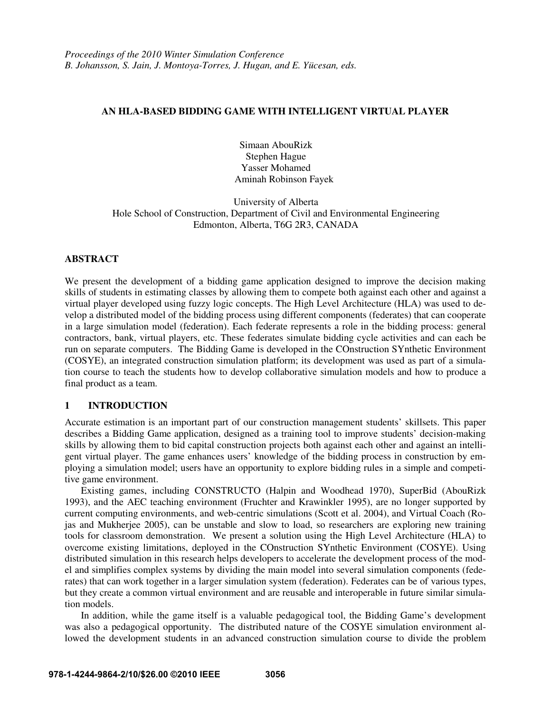## **AN HLA-BASED BIDDING GAME WITH INTELLIGENT VIRTUAL PLAYER**

Simaan AbouRizk Stephen Hague Yasser Mohamed Aminah Robinson Fayek

University of Alberta Hole School of Construction, Department of Civil and Environmental Engineering Edmonton, Alberta, T6G 2R3, CANADA

#### **ABSTRACT**

We present the development of a bidding game application designed to improve the decision making skills of students in estimating classes by allowing them to compete both against each other and against a virtual player developed using fuzzy logic concepts. The High Level Architecture (HLA) was used to develop a distributed model of the bidding process using different components (federates) that can cooperate in a large simulation model (federation). Each federate represents a role in the bidding process: general contractors, bank, virtual players, etc. These federates simulate bidding cycle activities and can each be run on separate computers. The Bidding Game is developed in the COnstruction SYnthetic Environment (COSYE), an integrated construction simulation platform; its development was used as part of a simulation course to teach the students how to develop collaborative simulation models and how to produce a final product as a team.

## **1 INTRODUCTION**

Accurate estimation is an important part of our construction management students' skillsets. This paper describes a Bidding Game application, designed as a training tool to improve students' decision-making skills by allowing them to bid capital construction projects both against each other and against an intelligent virtual player. The game enhances users' knowledge of the bidding process in construction by employing a simulation model; users have an opportunity to explore bidding rules in a simple and competitive game environment.

Existing games, including CONSTRUCTO (Halpin and Woodhead 1970), SuperBid (AbouRizk 1993), and the AEC teaching environment (Fruchter and Krawinkler 1995), are no longer supported by current computing environments, and web-centric simulations (Scott et al. 2004), and Virtual Coach (Rojas and Mukherjee 2005), can be unstable and slow to load, so researchers are exploring new training tools for classroom demonstration. We present a solution using the High Level Architecture (HLA) to overcome existing limitations, deployed in the COnstruction SYnthetic Environment (COSYE). Using distributed simulation in this research helps developers to accelerate the development process of the model and simplifies complex systems by dividing the main model into several simulation components (federates) that can work together in a larger simulation system (federation). Federates can be of various types, but they create a common virtual environment and are reusable and interoperable in future similar simulation models.

In addition, while the game itself is a valuable pedagogical tool, the Bidding Game's development was also a pedagogical opportunity. The distributed nature of the COSYE simulation environment allowed the development students in an advanced construction simulation course to divide the problem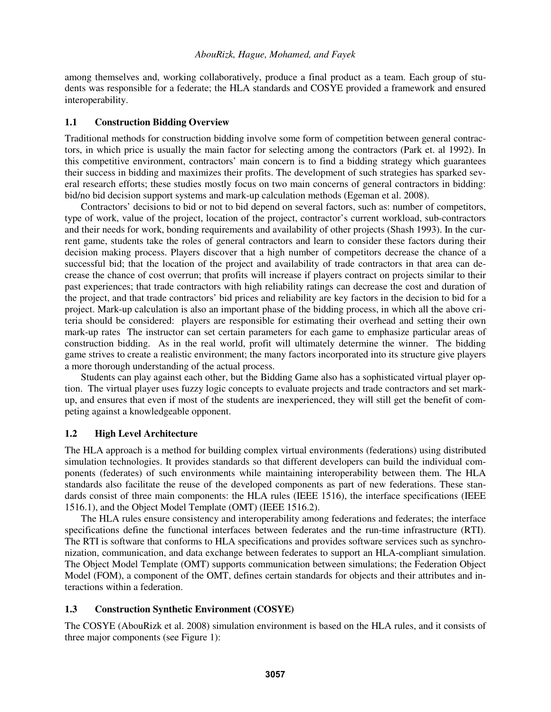among themselves and, working collaboratively, produce a final product as a team. Each group of students was responsible for a federate; the HLA standards and COSYE provided a framework and ensured interoperability.

#### **1.1 Construction Bidding Overview**

Traditional methods for construction bidding involve some form of competition between general contractors, in which price is usually the main factor for selecting among the contractors (Park et. al 1992). In this competitive environment, contractors' main concern is to find a bidding strategy which guarantees their success in bidding and maximizes their profits. The development of such strategies has sparked several research efforts; these studies mostly focus on two main concerns of general contractors in bidding: bid/no bid decision support systems and mark-up calculation methods (Egeman et al. 2008).

Contractors' decisions to bid or not to bid depend on several factors, such as: number of competitors, type of work, value of the project, location of the project, contractor's current workload, sub-contractors and their needs for work, bonding requirements and availability of other projects (Shash 1993). In the current game, students take the roles of general contractors and learn to consider these factors during their decision making process. Players discover that a high number of competitors decrease the chance of a successful bid; that the location of the project and availability of trade contractors in that area can decrease the chance of cost overrun; that profits will increase if players contract on projects similar to their past experiences; that trade contractors with high reliability ratings can decrease the cost and duration of the project, and that trade contractors' bid prices and reliability are key factors in the decision to bid for a project. Mark-up calculation is also an important phase of the bidding process, in which all the above criteria should be considered: players are responsible for estimating their overhead and setting their own mark-up rates The instructor can set certain parameters for each game to emphasize particular areas of construction bidding. As in the real world, profit will ultimately determine the winner. The bidding game strives to create a realistic environment; the many factors incorporated into its structure give players a more thorough understanding of the actual process.

Students can play against each other, but the Bidding Game also has a sophisticated virtual player option. The virtual player uses fuzzy logic concepts to evaluate projects and trade contractors and set markup, and ensures that even if most of the students are inexperienced, they will still get the benefit of competing against a knowledgeable opponent.

## **1.2 High Level Architecture**

The HLA approach is a method for building complex virtual environments (federations) using distributed simulation technologies. It provides standards so that different developers can build the individual components (federates) of such environments while maintaining interoperability between them. The HLA standards also facilitate the reuse of the developed components as part of new federations. These standards consist of three main components: the HLA rules (IEEE 1516), the interface specifications (IEEE 1516.1), and the Object Model Template (OMT) (IEEE 1516.2).

The HLA rules ensure consistency and interoperability among federations and federates; the interface specifications define the functional interfaces between federates and the run-time infrastructure (RTI). The RTI is software that conforms to HLA specifications and provides software services such as synchronization, communication, and data exchange between federates to support an HLA-compliant simulation. The Object Model Template (OMT) supports communication between simulations; the Federation Object Model (FOM), a component of the OMT, defines certain standards for objects and their attributes and interactions within a federation.

## **1.3 Construction Synthetic Environment (COSYE)**

The COSYE (AbouRizk et al. 2008) simulation environment is based on the HLA rules, and it consists of three major components (see Figure 1):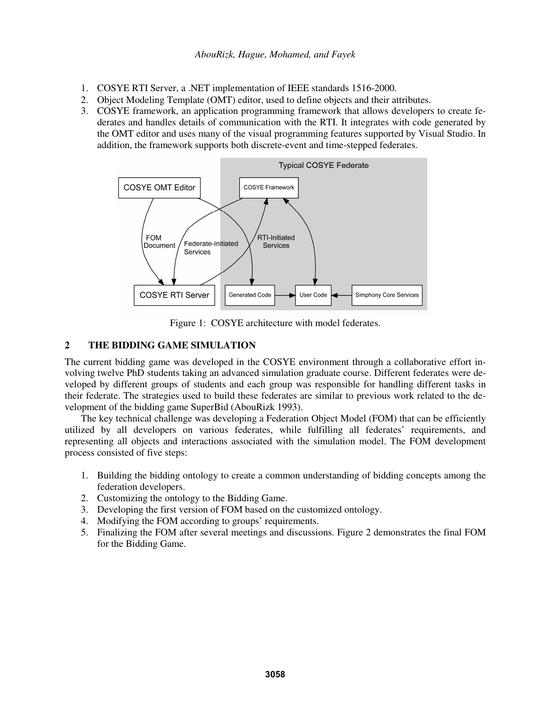- 1. COSYE RTI Server, a .NET implementation of IEEE standards 1516-2000.
- 2. Object Modeling Template (OMT) editor, used to define objects and their attributes.
- 3. COSYE framework, an application programming framework that allows developers to create federates and handles details of communication with the RTI. It integrates with code generated by the OMT editor and uses many of the visual programming features supported by Visual Studio. In addition, the framework supports both discrete-event and time-stepped federates.



Figure 1: COSYE architecture with model federates.

#### **2 THE BIDDING GAME SIMULATION**

The current bidding game was developed in the COSYE environment through a collaborative effort involving twelve PhD students taking an advanced simulation graduate course. Different federates were developed by different groups of students and each group was responsible for handling different tasks in their federate. The strategies used to build these federates are similar to previous work related to the development of the bidding game SuperBid (AbouRizk 1993).

The key technical challenge was developing a Federation Object Model (FOM) that can be efficiently utilized by all developers on various federates, while fulfilling all federates' requirements, and representing all objects and interactions associated with the simulation model. The FOM development process consisted of five steps:

- 1. Building the bidding ontology to create a common understanding of bidding concepts among the federation developers.
- 2. Customizing the ontology to the Bidding Game.
- 3. Developing the first version of FOM based on the customized ontology.
- 4. Modifying the FOM according to groups' requirements.
- 5. Finalizing the FOM after several meetings and discussions. Figure 2 demonstrates the final FOM for the Bidding Game.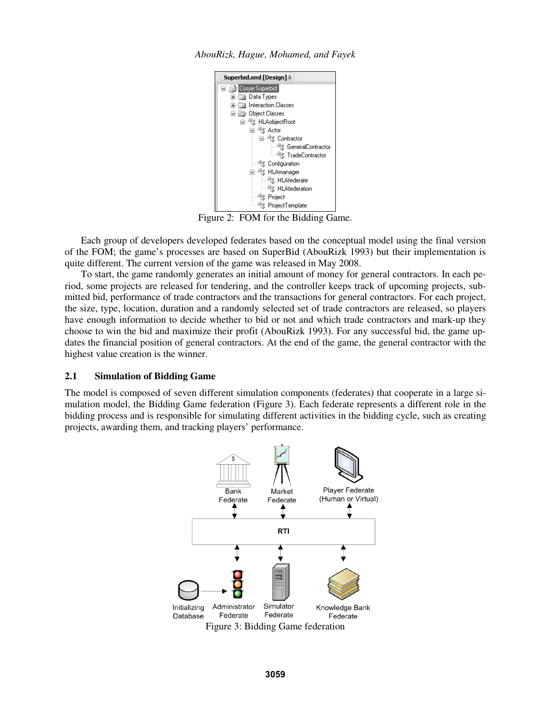*AbouRizk, Hague, Mohamed, and Fayek* 



Figure 2: FOM for the Bidding Game.

Each group of developers developed federates based on the conceptual model using the final version of the FOM; the game's processes are based on SuperBid (AbouRizk 1993) but their implementation is quite different. The current version of the game was released in May 2008.

To start, the game randomly generates an initial amount of money for general contractors. In each period, some projects are released for tendering, and the controller keeps track of upcoming projects, submitted bid, performance of trade contractors and the transactions for general contractors. For each project, the size, type, location, duration and a randomly selected set of trade contractors are released, so players have enough information to decide whether to bid or not and which trade contractors and mark-up they choose to win the bid and maximize their profit (AbouRizk 1993). For any successful bid, the game updates the financial position of general contractors. At the end of the game, the general contractor with the highest value creation is the winner.

## **2.1 Simulation of Bidding Game**

The model is composed of seven different simulation components (federates) that cooperate in a large simulation model, the Bidding Game federation (Figure 3). Each federate represents a different role in the bidding process and is responsible for simulating different activities in the bidding cycle, such as creating projects, awarding them, and tracking players' performance.

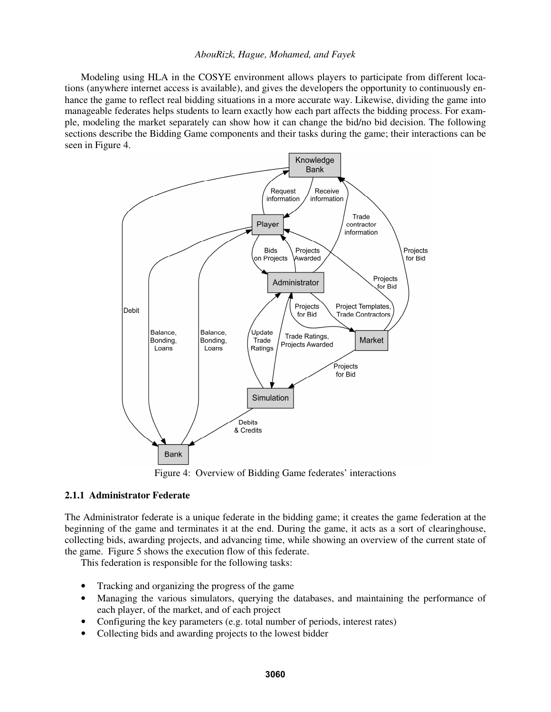Modeling using HLA in the COSYE environment allows players to participate from different locations (anywhere internet access is available), and gives the developers the opportunity to continuously enhance the game to reflect real bidding situations in a more accurate way. Likewise, dividing the game into manageable federates helps students to learn exactly how each part affects the bidding process. For example, modeling the market separately can show how it can change the bid/no bid decision. The following sections describe the Bidding Game components and their tasks during the game; their interactions can be seen in Figure 4.



Figure 4: Overview of Bidding Game federates' interactions

#### **2.1.1 Administrator Federate**

The Administrator federate is a unique federate in the bidding game; it creates the game federation at the beginning of the game and terminates it at the end. During the game, it acts as a sort of clearinghouse, collecting bids, awarding projects, and advancing time, while showing an overview of the current state of the game. Figure 5 shows the execution flow of this federate.

This federation is responsible for the following tasks:

- Tracking and organizing the progress of the game
- Managing the various simulators, querying the databases, and maintaining the performance of each player, of the market, and of each project
- Configuring the key parameters (e.g. total number of periods, interest rates)
- Collecting bids and awarding projects to the lowest bidder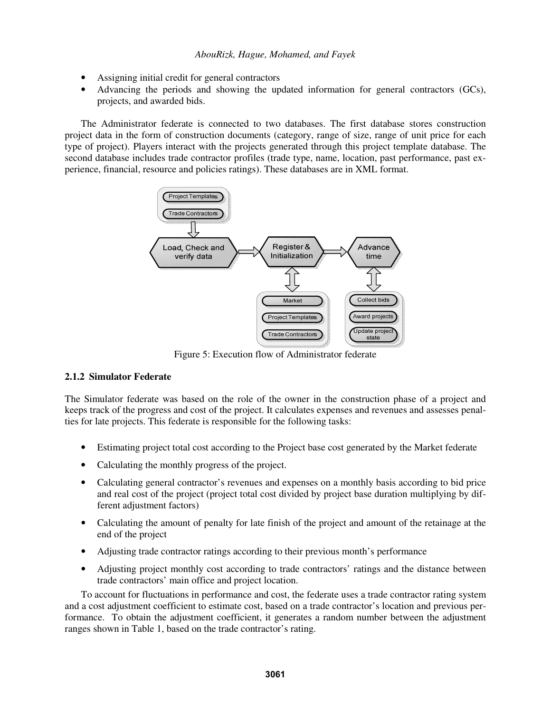- Assigning initial credit for general contractors
- Advancing the periods and showing the updated information for general contractors (GCs), projects, and awarded bids.

The Administrator federate is connected to two databases. The first database stores construction project data in the form of construction documents (category, range of size, range of unit price for each type of project). Players interact with the projects generated through this project template database. The second database includes trade contractor profiles (trade type, name, location, past performance, past experience, financial, resource and policies ratings). These databases are in XML format.



Figure 5: Execution flow of Administrator federate

## **2.1.2 Simulator Federate**

The Simulator federate was based on the role of the owner in the construction phase of a project and keeps track of the progress and cost of the project. It calculates expenses and revenues and assesses penalties for late projects. This federate is responsible for the following tasks:

- Estimating project total cost according to the Project base cost generated by the Market federate
- Calculating the monthly progress of the project.
- Calculating general contractor's revenues and expenses on a monthly basis according to bid price and real cost of the project (project total cost divided by project base duration multiplying by different adjustment factors)
- Calculating the amount of penalty for late finish of the project and amount of the retainage at the end of the project
- Adjusting trade contractor ratings according to their previous month's performance
- Adjusting project monthly cost according to trade contractors' ratings and the distance between trade contractors' main office and project location.

To account for fluctuations in performance and cost, the federate uses a trade contractor rating system and a cost adjustment coefficient to estimate cost, based on a trade contractor's location and previous performance. To obtain the adjustment coefficient, it generates a random number between the adjustment ranges shown in Table 1, based on the trade contractor's rating.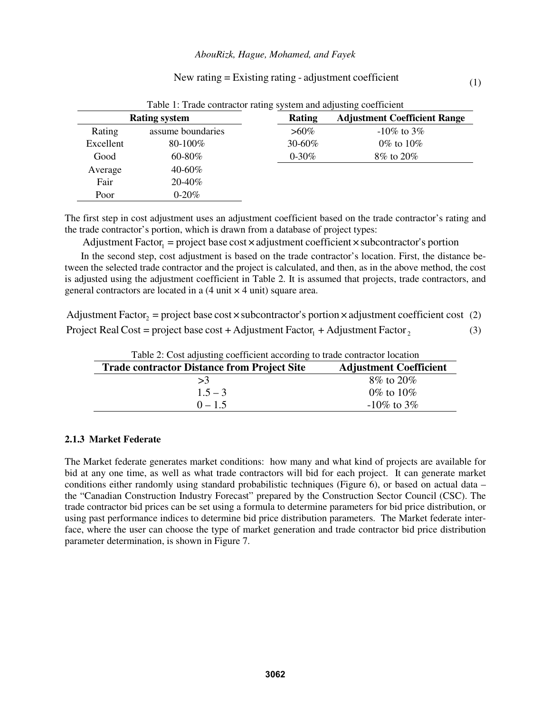# New rating = Existing rating - adjustment coefficient  $(1)$

| <b>Rating system</b> |                   | Rating    | <b>Adjustment Coefficient Range</b> |  |  |
|----------------------|-------------------|-----------|-------------------------------------|--|--|
| Rating               | assume boundaries | $>60\%$   | $-10\%$ to 3\%                      |  |  |
| Excellent            | 80-100%           | 30-60%    | 0\% to 10\%                         |  |  |
| Good                 | $60 - 80\%$       | $0 - 30%$ | $8\%$ to $20\%$                     |  |  |
| Average              | $40 - 60\%$       |           |                                     |  |  |
| Fair                 | $20 - 40\%$       |           |                                     |  |  |
| Poor                 | $0-20\%$          |           |                                     |  |  |

Table 1: Trade contractor rating system and adjusting coefficient

The first step in cost adjustment uses an adjustment coefficient based on the trade contractor's rating and the trade contractor's portion, which is drawn from a database of project types:

Adjustment Factor, = project base cost  $\times$  adjustment coefficient  $\times$  subcontractor's portion

In the second step, cost adjustment is based on the trade contractor's location. First, the distance between the selected trade contractor and the project is calculated, and then, as in the above method, the cost is adjusted using the adjustment coefficient in Table 2. It is assumed that projects, trade contractors, and general contractors are located in a  $(4 \text{ unit} \times 4 \text{ unit})$  square area.

Adjustment Factor<sub>2</sub> = project base cost  $\times$  subcontractor's portion  $\times$  adjustment coefficient cost (2) Project Real Cost = project base cost + Adjustment Factor, + Adjustment Factor  $(3)$ 

| Table 2: Cost adjusting coefficient according to trade contractor location |  |  |  |  |
|----------------------------------------------------------------------------|--|--|--|--|
| <b>Adjustment Coefficient</b>                                              |  |  |  |  |
| 8\% to 20\%                                                                |  |  |  |  |
| 0\% to 10\%                                                                |  |  |  |  |
| $-10\%$ to 3\%                                                             |  |  |  |  |
|                                                                            |  |  |  |  |

Table 2: Cost adjusting coefficient according to trade contractor location

## **2.1.3 Market Federate**

The Market federate generates market conditions: how many and what kind of projects are available for bid at any one time, as well as what trade contractors will bid for each project. It can generate market conditions either randomly using standard probabilistic techniques (Figure 6), or based on actual data – the "Canadian Construction Industry Forecast" prepared by the Construction Sector Council (CSC). The trade contractor bid prices can be set using a formula to determine parameters for bid price distribution, or using past performance indices to determine bid price distribution parameters. The Market federate interface, where the user can choose the type of market generation and trade contractor bid price distribution parameter determination, is shown in Figure 7.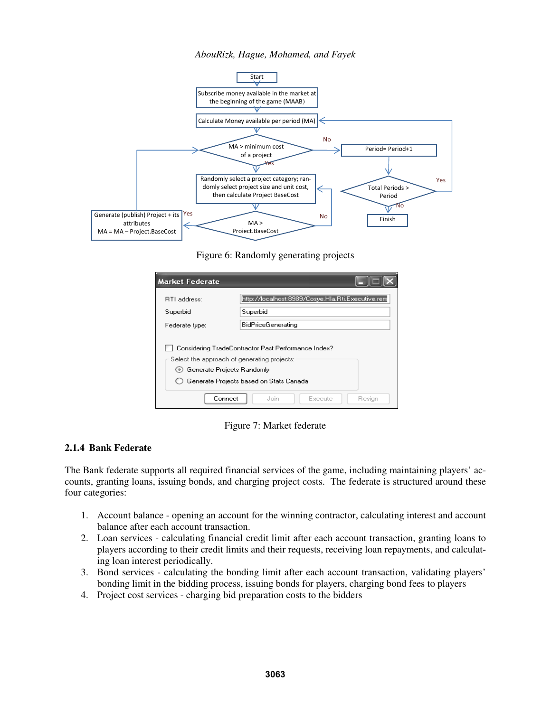

Figure 6: Randomly generating projects

| <b>Market Federate</b>                      |                                                     |  |  |  |  |
|---------------------------------------------|-----------------------------------------------------|--|--|--|--|
| <b>BTI</b> address:                         | http://localhost:8989/Cosye.Hla.Rti.Executive.rem   |  |  |  |  |
| Superbid                                    | Superbid                                            |  |  |  |  |
| Federate type:                              | <b>BidPriceGenerating</b>                           |  |  |  |  |
|                                             | Considering TradeContractor Past Performance Index? |  |  |  |  |
| Select the approach of generating projects: |                                                     |  |  |  |  |
| ⊙ Generate Projects Randomly                |                                                     |  |  |  |  |
|                                             | Generate Projects based on Stats Canada             |  |  |  |  |
| Connect                                     | J nin.<br>Execute<br>Resian                         |  |  |  |  |

Figure 7: Market federate

## **2.1.4 Bank Federate**

The Bank federate supports all required financial services of the game, including maintaining players' accounts, granting loans, issuing bonds, and charging project costs. The federate is structured around these four categories:

- 1. Account balance opening an account for the winning contractor, calculating interest and account balance after each account transaction.
- 2. Loan services calculating financial credit limit after each account transaction, granting loans to players according to their credit limits and their requests, receiving loan repayments, and calculating loan interest periodically.
- 3. Bond services calculating the bonding limit after each account transaction, validating players' bonding limit in the bidding process, issuing bonds for players, charging bond fees to players
- 4. Project cost services charging bid preparation costs to the bidders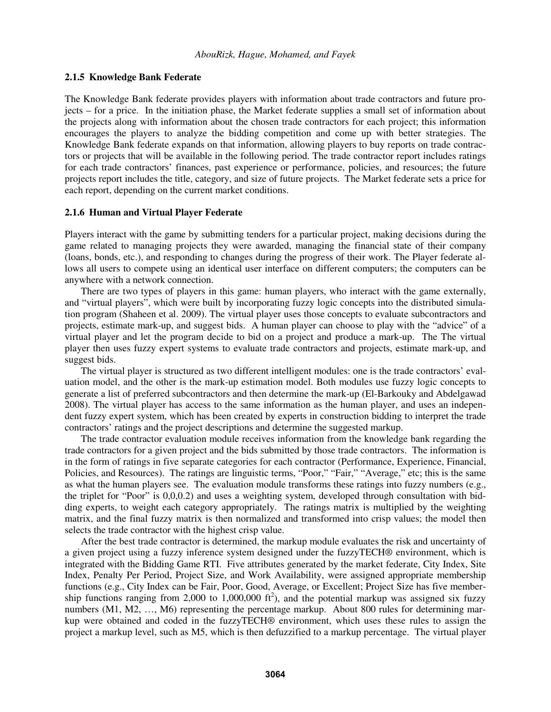#### **2.1.5 Knowledge Bank Federate**

The Knowledge Bank federate provides players with information about trade contractors and future projects – for a price. In the initiation phase, the Market federate supplies a small set of information about the projects along with information about the chosen trade contractors for each project; this information encourages the players to analyze the bidding competition and come up with better strategies. The Knowledge Bank federate expands on that information, allowing players to buy reports on trade contractors or projects that will be available in the following period. The trade contractor report includes ratings for each trade contractors' finances, past experience or performance, policies, and resources; the future projects report includes the title, category, and size of future projects. The Market federate sets a price for each report, depending on the current market conditions.

#### **2.1.6 Human and Virtual Player Federate**

Players interact with the game by submitting tenders for a particular project, making decisions during the game related to managing projects they were awarded, managing the financial state of their company (loans, bonds, etc.), and responding to changes during the progress of their work. The Player federate allows all users to compete using an identical user interface on different computers; the computers can be anywhere with a network connection.

There are two types of players in this game: human players, who interact with the game externally, and "virtual players", which were built by incorporating fuzzy logic concepts into the distributed simulation program (Shaheen et al. 2009). The virtual player uses those concepts to evaluate subcontractors and projects, estimate mark-up, and suggest bids. A human player can choose to play with the "advice" of a virtual player and let the program decide to bid on a project and produce a mark-up. The The virtual player then uses fuzzy expert systems to evaluate trade contractors and projects, estimate mark-up, and suggest bids.

The virtual player is structured as two different intelligent modules: one is the trade contractors' evaluation model, and the other is the mark-up estimation model. Both modules use fuzzy logic concepts to generate a list of preferred subcontractors and then determine the mark-up (El-Barkouky and Abdelgawad 2008). The virtual player has access to the same information as the human player, and uses an independent fuzzy expert system, which has been created by experts in construction bidding to interpret the trade contractors' ratings and the project descriptions and determine the suggested markup.

The trade contractor evaluation module receives information from the knowledge bank regarding the trade contractors for a given project and the bids submitted by those trade contractors. The information is in the form of ratings in five separate categories for each contractor (Performance, Experience, Financial, Policies, and Resources). The ratings are linguistic terms, "Poor," "Fair," "Average," etc; this is the same as what the human players see. The evaluation module transforms these ratings into fuzzy numbers (e.g., the triplet for "Poor" is 0,0,0.2) and uses a weighting system, developed through consultation with bidding experts, to weight each category appropriately. The ratings matrix is multiplied by the weighting matrix, and the final fuzzy matrix is then normalized and transformed into crisp values; the model then selects the trade contractor with the highest crisp value.

After the best trade contractor is determined, the markup module evaluates the risk and uncertainty of a given project using a fuzzy inference system designed under the fuzzyTECH® environment, which is integrated with the Bidding Game RTI. Five attributes generated by the market federate, City Index, Site Index, Penalty Per Period, Project Size, and Work Availability, were assigned appropriate membership functions (e.g., City Index can be Fair, Poor, Good, Average, or Excellent; Project Size has five membership functions ranging from 2,000 to 1,000,000  $\text{ft}^2$ ), and the potential markup was assigned six fuzzy numbers (M1, M2, ..., M6) representing the percentage markup. About 800 rules for determining markup were obtained and coded in the fuzzyTECH® environment, which uses these rules to assign the project a markup level, such as M5, which is then defuzzified to a markup percentage. The virtual player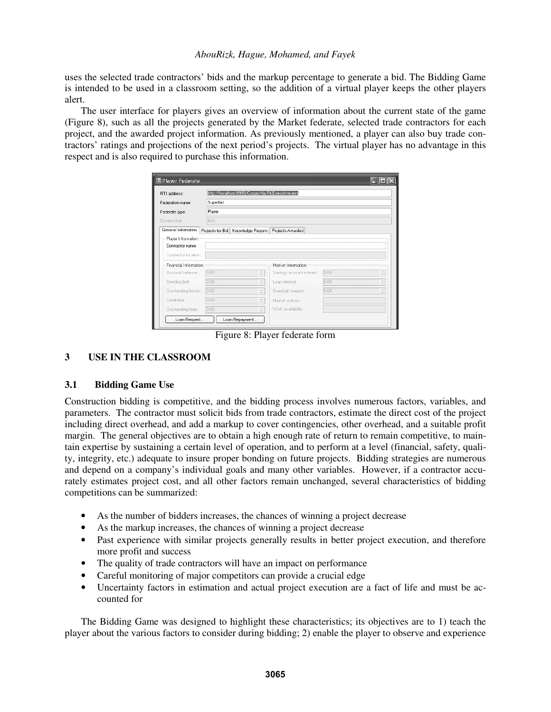uses the selected trade contractors' bids and the markup percentage to generate a bid. The Bidding Game is intended to be used in a classroom setting, so the addition of a virtual player keeps the other players alert.

The user interface for players gives an overview of information about the current state of the game (Figure 8), such as all the projects generated by the Market federate, selected trade contractors for each project, and the awarded project information. As previously mentioned, a player can also buy trade contractors' ratings and projections of the next period's projects. The virtual player has no advantage in this respect and is also required to purchase this information.

| Player Federate        |                                                        |                           |       |                                             |  |
|------------------------|--------------------------------------------------------|---------------------------|-------|---------------------------------------------|--|
| <b>BTLaddress:</b>     | http://localhost:8989/Cosye.Hla.Rti.Executive.rem      |                           |       |                                             |  |
| Federation name:       | Superbid                                               |                           |       |                                             |  |
| Federate type:         | Player                                                 |                           |       |                                             |  |
| Current time:          | N/A                                                    |                           |       |                                             |  |
| General Information    | Projects for Bid<br>Knowledge Reports                  | Projects Awarded          |       |                                             |  |
|                        |                                                        |                           |       |                                             |  |
| Player Information:    |                                                        |                           |       |                                             |  |
| Contractor name:       |                                                        |                           |       |                                             |  |
| Contractor Incation:   |                                                        |                           |       |                                             |  |
| Einancial Information: |                                                        | Market Information:       |       |                                             |  |
| Account balance:       | 0.00<br>$\Delta$<br>$\sim$                             | Savings account interest: | 0.00  | $\mathcal{A}_{\mathbb{R}}$<br>$\mathcal{L}$ |  |
| Bonding limit:         | 0.00<br>$\hat{\mathbb{Q}}$                             | Loan interest:            | 0.00  | $\sim$<br>$\mathcal{L}$                     |  |
| Outstanding bonds:     | ln nn<br>$\mathcal{A}^{\prime}_{\mathbf{a}}$<br>$\sim$ | Overdraft interest:       | ln nn | dia.<br>$\mathbf{v}$                        |  |
| Credit limit:          | 0.00<br>$\hat{\psi}$                                   | Market outlook:           |       |                                             |  |

Figure 8: Player federate form

# **3 USE IN THE CLASSROOM**

## **3.1 Bidding Game Use**

Construction bidding is competitive, and the bidding process involves numerous factors, variables, and parameters. The contractor must solicit bids from trade contractors, estimate the direct cost of the project including direct overhead, and add a markup to cover contingencies, other overhead, and a suitable profit margin. The general objectives are to obtain a high enough rate of return to remain competitive, to maintain expertise by sustaining a certain level of operation, and to perform at a level (financial, safety, quality, integrity, etc.) adequate to insure proper bonding on future projects. Bidding strategies are numerous and depend on a company's individual goals and many other variables. However, if a contractor accurately estimates project cost, and all other factors remain unchanged, several characteristics of bidding competitions can be summarized:

- As the number of bidders increases, the chances of winning a project decrease
- As the markup increases, the chances of winning a project decrease
- Past experience with similar projects generally results in better project execution, and therefore more profit and success
- The quality of trade contractors will have an impact on performance
- Careful monitoring of major competitors can provide a crucial edge
- Uncertainty factors in estimation and actual project execution are a fact of life and must be accounted for

The Bidding Game was designed to highlight these characteristics; its objectives are to 1) teach the player about the various factors to consider during bidding; 2) enable the player to observe and experience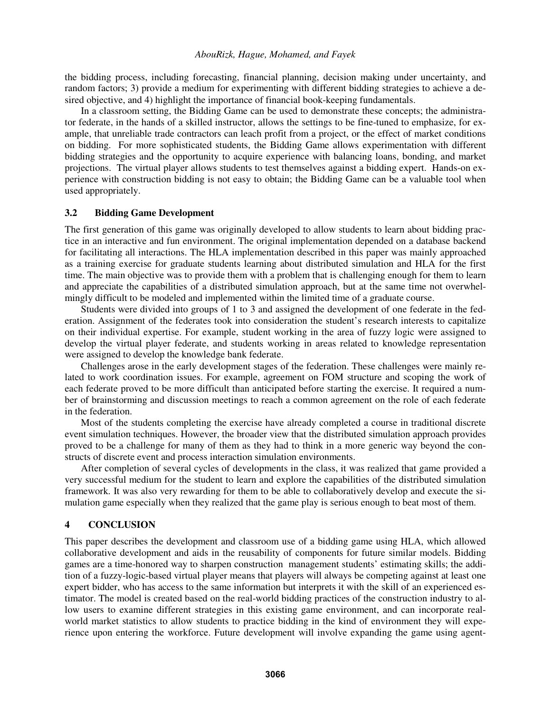the bidding process, including forecasting, financial planning, decision making under uncertainty, and random factors; 3) provide a medium for experimenting with different bidding strategies to achieve a desired objective, and 4) highlight the importance of financial book-keeping fundamentals.

In a classroom setting, the Bidding Game can be used to demonstrate these concepts; the administrator federate, in the hands of a skilled instructor, allows the settings to be fine-tuned to emphasize, for example, that unreliable trade contractors can leach profit from a project, or the effect of market conditions on bidding. For more sophisticated students, the Bidding Game allows experimentation with different bidding strategies and the opportunity to acquire experience with balancing loans, bonding, and market projections. The virtual player allows students to test themselves against a bidding expert. Hands-on experience with construction bidding is not easy to obtain; the Bidding Game can be a valuable tool when used appropriately.

#### **3.2 Bidding Game Development**

The first generation of this game was originally developed to allow students to learn about bidding practice in an interactive and fun environment. The original implementation depended on a database backend for facilitating all interactions. The HLA implementation described in this paper was mainly approached as a training exercise for graduate students learning about distributed simulation and HLA for the first time. The main objective was to provide them with a problem that is challenging enough for them to learn and appreciate the capabilities of a distributed simulation approach, but at the same time not overwhelmingly difficult to be modeled and implemented within the limited time of a graduate course.

Students were divided into groups of 1 to 3 and assigned the development of one federate in the federation. Assignment of the federates took into consideration the student's research interests to capitalize on their individual expertise. For example, student working in the area of fuzzy logic were assigned to develop the virtual player federate, and students working in areas related to knowledge representation were assigned to develop the knowledge bank federate.

Challenges arose in the early development stages of the federation. These challenges were mainly related to work coordination issues. For example, agreement on FOM structure and scoping the work of each federate proved to be more difficult than anticipated before starting the exercise. It required a number of brainstorming and discussion meetings to reach a common agreement on the role of each federate in the federation.

Most of the students completing the exercise have already completed a course in traditional discrete event simulation techniques. However, the broader view that the distributed simulation approach provides proved to be a challenge for many of them as they had to think in a more generic way beyond the constructs of discrete event and process interaction simulation environments.

After completion of several cycles of developments in the class, it was realized that game provided a very successful medium for the student to learn and explore the capabilities of the distributed simulation framework. It was also very rewarding for them to be able to collaboratively develop and execute the simulation game especially when they realized that the game play is serious enough to beat most of them.

#### **4 CONCLUSION**

This paper describes the development and classroom use of a bidding game using HLA, which allowed collaborative development and aids in the reusability of components for future similar models. Bidding games are a time-honored way to sharpen construction management students' estimating skills; the addition of a fuzzy-logic-based virtual player means that players will always be competing against at least one expert bidder, who has access to the same information but interprets it with the skill of an experienced estimator. The model is created based on the real-world bidding practices of the construction industry to allow users to examine different strategies in this existing game environment, and can incorporate realworld market statistics to allow students to practice bidding in the kind of environment they will experience upon entering the workforce. Future development will involve expanding the game using agent-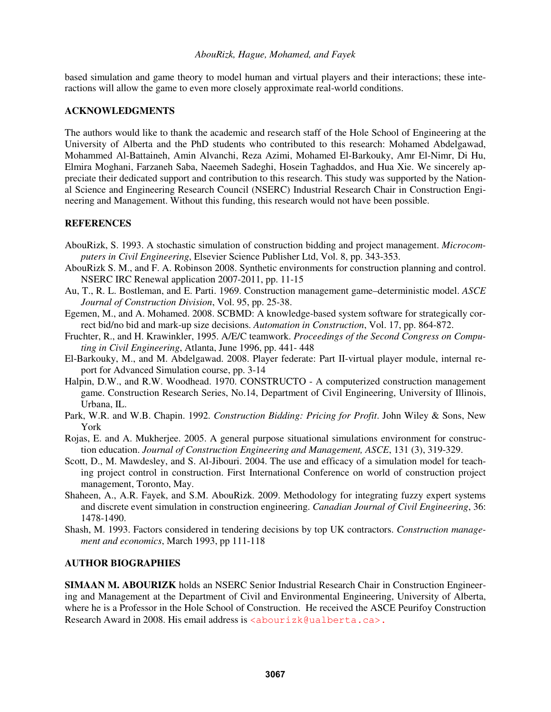based simulation and game theory to model human and virtual players and their interactions; these interactions will allow the game to even more closely approximate real-world conditions.

## **ACKNOWLEDGMENTS**

The authors would like to thank the academic and research staff of the Hole School of Engineering at the University of Alberta and the PhD students who contributed to this research: Mohamed Abdelgawad, Mohammed Al-Battaineh, Amin Alvanchi, Reza Azimi, Mohamed El-Barkouky, Amr El-Nimr, Di Hu, Elmira Moghani, Farzaneh Saba, Naeemeh Sadeghi, Hosein Taghaddos, and Hua Xie. We sincerely appreciate their dedicated support and contribution to this research. This study was supported by the National Science and Engineering Research Council (NSERC) Industrial Research Chair in Construction Engineering and Management. Without this funding, this research would not have been possible.

#### **REFERENCES**

- AbouRizk, S. 1993. A stochastic simulation of construction bidding and project management. *Microcomputers in Civil Engineering*, Elsevier Science Publisher Ltd, Vol. 8, pp. 343-353.
- AbouRizk S. M., and F. A. Robinson 2008. Synthetic environments for construction planning and control. NSERC IRC Renewal application 2007-2011, pp. 11-15
- Au, T., R. L. Bostleman, and E. Parti. 1969. Construction management game–deterministic model. *ASCE Journal of Construction Division*, Vol. 95, pp. 25-38.
- Egemen, M., and A. Mohamed. 2008. SCBMD: A knowledge-based system software for strategically correct bid/no bid and mark-up size decisions. *Automation in Construction*, Vol. 17, pp. 864-872.
- Fruchter, R., and H. Krawinkler, 1995. A/E/C teamwork. *Proceedings of the Second Congress on Computing in Civil Engineering*, Atlanta, June 1996, pp. 441- 448
- El-Barkouky, M., and M. Abdelgawad. 2008. Player federate: Part II-virtual player module, internal report for Advanced Simulation course, pp. 3-14
- Halpin, D.W., and R.W. Woodhead. 1970. CONSTRUCTO A computerized construction management game. Construction Research Series, No.14, Department of Civil Engineering, University of Illinois, Urbana, IL.
- Park, W.R. and W.B. Chapin. 1992. *Construction Bidding: Pricing for Profit*. John Wiley & Sons, New York
- Rojas, E. and A. Mukherjee. 2005. A general purpose situational simulations environment for construction education. *Journal of Construction Engineering and Management, ASCE*, 131 (3), 319-329.
- Scott, D., M. Mawdesley, and S. Al-Jibouri. 2004. The use and efficacy of a simulation model for teaching project control in construction. First International Conference on world of construction project management, Toronto, May.
- Shaheen, A., A.R. Fayek, and S.M. AbouRizk. 2009. Methodology for integrating fuzzy expert systems and discrete event simulation in construction engineering. *Canadian Journal of Civil Engineering*, 36: 1478-1490.
- Shash, M. 1993. Factors considered in tendering decisions by top UK contractors. *Construction management and economics*, March 1993, pp 111-118

#### **AUTHOR BIOGRAPHIES**

**SIMAAN M. ABOURIZK** holds an NSERC Senior Industrial Research Chair in Construction Engineering and Management at the Department of Civil and Environmental Engineering, University of Alberta, where he is a Professor in the Hole School of Construction. He received the ASCE Peurifoy Construction Research Award in 2008. His email address is  $\langle$ abourizk@ualberta.ca>.